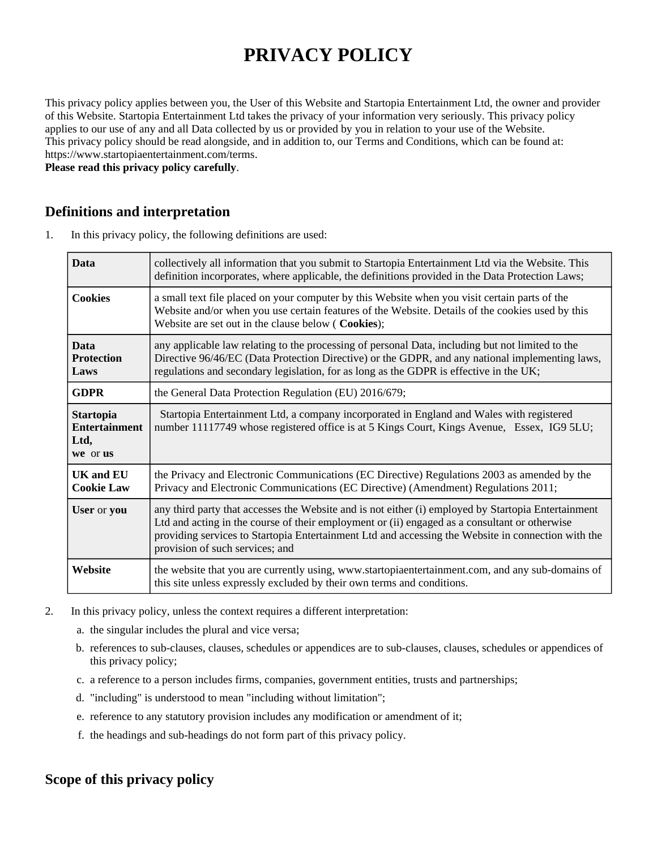# **PRIVACY POLICY**

This privacy policy applies between you, the User of this Website and Startopia Entertainment Ltd, the owner and provider of this Website. Startopia Entertainment Ltd takes the privacy of your information very seriously. This privacy policy applies to our use of any and all Data collected by us or provided by you in relation to your use of the Website. This privacy policy should be read alongside, and in addition to, our Terms and Conditions, which can be found at: https://www.startopiaentertainment.com/terms.

**Please read this privacy policy carefully**.

## **Definitions and interpretation**

1. In this privacy policy, the following definitions are used:

| <b>Data</b>                                                  | collectively all information that you submit to Startopia Entertainment Ltd via the Website. This<br>definition incorporates, where applicable, the definitions provided in the Data Protection Laws;                                                                                                                                         |
|--------------------------------------------------------------|-----------------------------------------------------------------------------------------------------------------------------------------------------------------------------------------------------------------------------------------------------------------------------------------------------------------------------------------------|
| <b>Cookies</b>                                               | a small text file placed on your computer by this Website when you visit certain parts of the<br>Website and/or when you use certain features of the Website. Details of the cookies used by this<br>Website are set out in the clause below (Cookies);                                                                                       |
| <b>Data</b><br><b>Protection</b><br>Laws                     | any applicable law relating to the processing of personal Data, including but not limited to the<br>Directive 96/46/EC (Data Protection Directive) or the GDPR, and any national implementing laws,<br>regulations and secondary legislation, for as long as the GDPR is effective in the UK;                                                 |
| <b>GDPR</b>                                                  | the General Data Protection Regulation (EU) 2016/679;                                                                                                                                                                                                                                                                                         |
| <b>Startopia</b><br><b>Entertainment</b><br>Ltd,<br>we or us | Startopia Entertainment Ltd, a company incorporated in England and Wales with registered<br>number 11117749 whose registered office is at 5 Kings Court, Kings Avenue, Essex, IG9 5LU;                                                                                                                                                        |
| <b>UK and EU</b><br><b>Cookie Law</b>                        | the Privacy and Electronic Communications (EC Directive) Regulations 2003 as amended by the<br>Privacy and Electronic Communications (EC Directive) (Amendment) Regulations 2011;                                                                                                                                                             |
| User or you                                                  | any third party that accesses the Website and is not either (i) employed by Startopia Entertainment<br>Ltd and acting in the course of their employment or (ii) engaged as a consultant or otherwise<br>providing services to Startopia Entertainment Ltd and accessing the Website in connection with the<br>provision of such services; and |
| Website                                                      | the website that you are currently using, www.startopiaentertainment.com, and any sub-domains of<br>this site unless expressly excluded by their own terms and conditions.                                                                                                                                                                    |

- 2. In this privacy policy, unless the context requires a different interpretation:
	- a. the singular includes the plural and vice versa;
	- b. references to sub-clauses, clauses, schedules or appendices are to sub-clauses, clauses, schedules or appendices of this privacy policy;
	- c. a reference to a person includes firms, companies, government entities, trusts and partnerships;
	- d. "including" is understood to mean "including without limitation";
	- e. reference to any statutory provision includes any modification or amendment of it;
	- f. the headings and sub-headings do not form part of this privacy policy.

## **Scope of this privacy policy**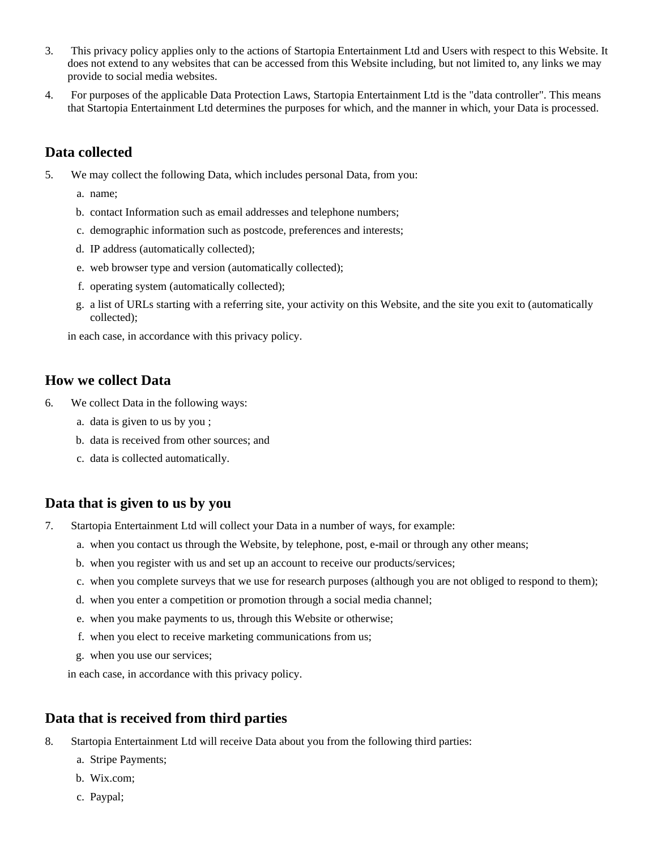- 3. This privacy policy applies only to the actions of Startopia Entertainment Ltd and Users with respect to this Website. It does not extend to any websites that can be accessed from this Website including, but not limited to, any links we may provide to social media websites.
- 4. For purposes of the applicable Data Protection Laws, Startopia Entertainment Ltd is the "data controller". This means that Startopia Entertainment Ltd determines the purposes for which, and the manner in which, your Data is processed.

## **Data collected**

- 5. We may collect the following Data, which includes personal Data, from you:
	- a. name;
	- b. contact Information such as email addresses and telephone numbers;
	- c. demographic information such as postcode, preferences and interests;
	- d. IP address (automatically collected);
	- e. web browser type and version (automatically collected);
	- f. operating system (automatically collected);
	- g. a list of URLs starting with a referring site, your activity on this Website, and the site you exit to (automatically collected);

in each case, in accordance with this privacy policy.

#### **How we collect Data**

- 6. We collect Data in the following ways:
	- a. data is given to us by you ;
	- b. data is received from other sources; and
	- c. data is collected automatically.

#### **Data that is given to us by you**

- 7. Startopia Entertainment Ltd will collect your Data in a number of ways, for example:
	- a. when you contact us through the Website, by telephone, post, e-mail or through any other means;
	- b. when you register with us and set up an account to receive our products/services;
	- c. when you complete surveys that we use for research purposes (although you are not obliged to respond to them);
	- d. when you enter a competition or promotion through a social media channel;
	- e. when you make payments to us, through this Website or otherwise;
	- f. when you elect to receive marketing communications from us;
	- g. when you use our services;

in each case, in accordance with this privacy policy.

## **Data that is received from third parties**

- 8. Startopia Entertainment Ltd will receive Data about you from the following third parties:
	- a. Stripe Payments;
	- b. Wix.com;
	- c. Paypal;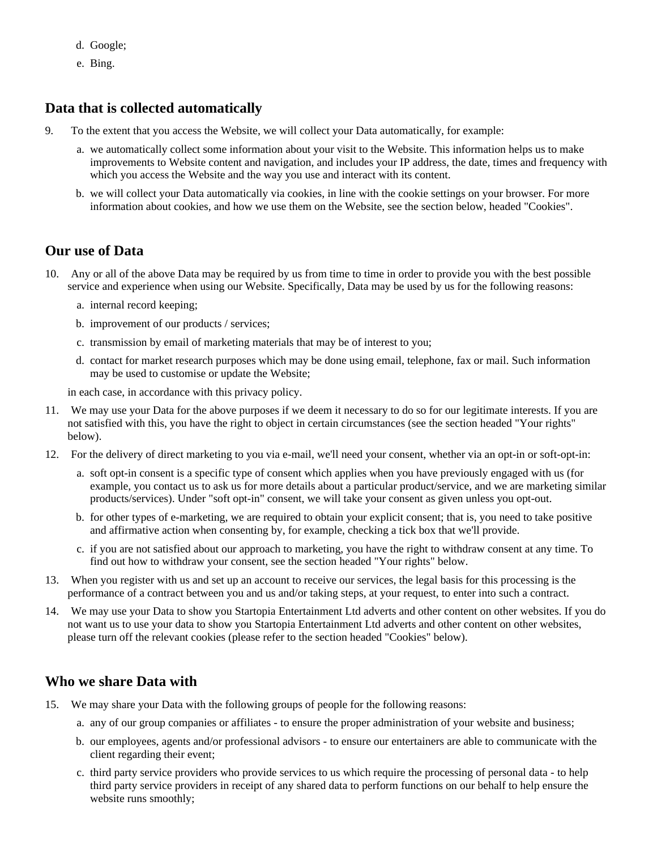- d. Google;
- e. Bing.

## **Data that is collected automatically**

- 9. To the extent that you access the Website, we will collect your Data automatically, for example:
	- a. we automatically collect some information about your visit to the Website. This information helps us to make improvements to Website content and navigation, and includes your IP address, the date, times and frequency with which you access the Website and the way you use and interact with its content.
	- b. we will collect your Data automatically via cookies, in line with the cookie settings on your browser. For more information about cookies, and how we use them on the Website, see the section below, headed "Cookies".

#### **Our use of Data**

- 10. Any or all of the above Data may be required by us from time to time in order to provide you with the best possible service and experience when using our Website. Specifically, Data may be used by us for the following reasons:
	- a. internal record keeping;
	- b. improvement of our products / services;
	- c. transmission by email of marketing materials that may be of interest to you;
	- d. contact for market research purposes which may be done using email, telephone, fax or mail. Such information may be used to customise or update the Website;

in each case, in accordance with this privacy policy.

- 11. We may use your Data for the above purposes if we deem it necessary to do so for our legitimate interests. If you are not satisfied with this, you have the right to object in certain circumstances (see the section headed "Your rights" below).
- 12. For the delivery of direct marketing to you via e-mail, we'll need your consent, whether via an opt-in or soft-opt-in:
	- a. soft opt-in consent is a specific type of consent which applies when you have previously engaged with us (for example, you contact us to ask us for more details about a particular product/service, and we are marketing similar products/services). Under "soft opt-in" consent, we will take your consent as given unless you opt-out.
	- b. for other types of e-marketing, we are required to obtain your explicit consent; that is, you need to take positive and affirmative action when consenting by, for example, checking a tick box that we'll provide.
	- c. if you are not satisfied about our approach to marketing, you have the right to withdraw consent at any time. To find out how to withdraw your consent, see the section headed "Your rights" below.
- 13. When you register with us and set up an account to receive our services, the legal basis for this processing is the performance of a contract between you and us and/or taking steps, at your request, to enter into such a contract.
- 14. We may use your Data to show you Startopia Entertainment Ltd adverts and other content on other websites. If you do not want us to use your data to show you Startopia Entertainment Ltd adverts and other content on other websites, please turn off the relevant cookies (please refer to the section headed "Cookies" below).

## **Who we share Data with**

- 15. We may share your Data with the following groups of people for the following reasons:
	- a. any of our group companies or affiliates to ensure the proper administration of your website and business;
	- b. our employees, agents and/or professional advisors to ensure our entertainers are able to communicate with the client regarding their event;
	- c. third party service providers who provide services to us which require the processing of personal data to help third party service providers in receipt of any shared data to perform functions on our behalf to help ensure the website runs smoothly;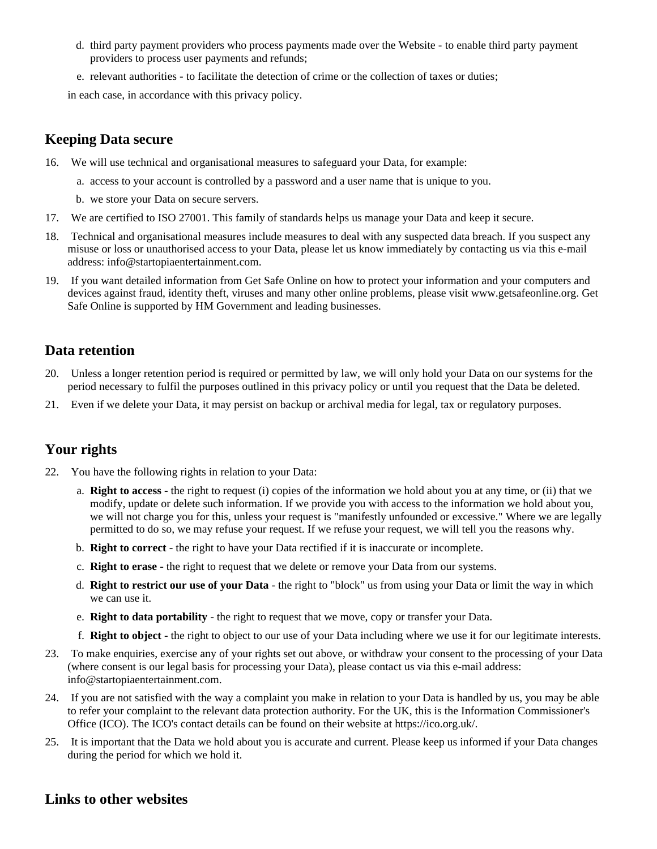- d. third party payment providers who process payments made over the Website to enable third party payment providers to process user payments and refunds;
- e. relevant authorities to facilitate the detection of crime or the collection of taxes or duties;

in each case, in accordance with this privacy policy.

## **Keeping Data secure**

- 16. We will use technical and organisational measures to safeguard your Data, for example:
	- a. access to your account is controlled by a password and a user name that is unique to you.
	- b. we store your Data on secure servers.
- 17. We are certified to ISO 27001. This family of standards helps us manage your Data and keep it secure.
- 18. Technical and organisational measures include measures to deal with any suspected data breach. If you suspect any misuse or loss or unauthorised access to your Data, please let us know immediately by contacting us via this e-mail address: info@startopiaentertainment.com.
- 19. If you want detailed information from Get Safe Online on how to protect your information and your computers and devices against fraud, identity theft, viruses and many other online problems, please visit www.getsafeonline.org. Get Safe Online is supported by HM Government and leading businesses.

## **Data retention**

- 20. Unless a longer retention period is required or permitted by law, we will only hold your Data on our systems for the period necessary to fulfil the purposes outlined in this privacy policy or until you request that the Data be deleted.
- 21. Even if we delete your Data, it may persist on backup or archival media for legal, tax or regulatory purposes.

# **Your rights**

- 22. You have the following rights in relation to your Data:
	- a. **Right to access** the right to request (i) copies of the information we hold about you at any time, or (ii) that we modify, update or delete such information. If we provide you with access to the information we hold about you, we will not charge you for this, unless your request is "manifestly unfounded or excessive." Where we are legally permitted to do so, we may refuse your request. If we refuse your request, we will tell you the reasons why.
	- b. **Right to correct** the right to have your Data rectified if it is inaccurate or incomplete.
	- c. **Right to erase** the right to request that we delete or remove your Data from our systems.
	- d. **Right to restrict our use of your Data** the right to "block" us from using your Data or limit the way in which we can use it.
	- e. **Right to data portability** the right to request that we move, copy or transfer your Data.
	- f. **Right to object** the right to object to our use of your Data including where we use it for our legitimate interests.
- 23. To make enquiries, exercise any of your rights set out above, or withdraw your consent to the processing of your Data (where consent is our legal basis for processing your Data), please contact us via this e-mail address: info@startopiaentertainment.com.
- 24. If you are not satisfied with the way a complaint you make in relation to your Data is handled by us, you may be able to refer your complaint to the relevant data protection authority. For the UK, this is the Information Commissioner's Office (ICO). The ICO's contact details can be found on their website at https://ico.org.uk/.
- 25. It is important that the Data we hold about you is accurate and current. Please keep us informed if your Data changes during the period for which we hold it.

## **Links to other websites**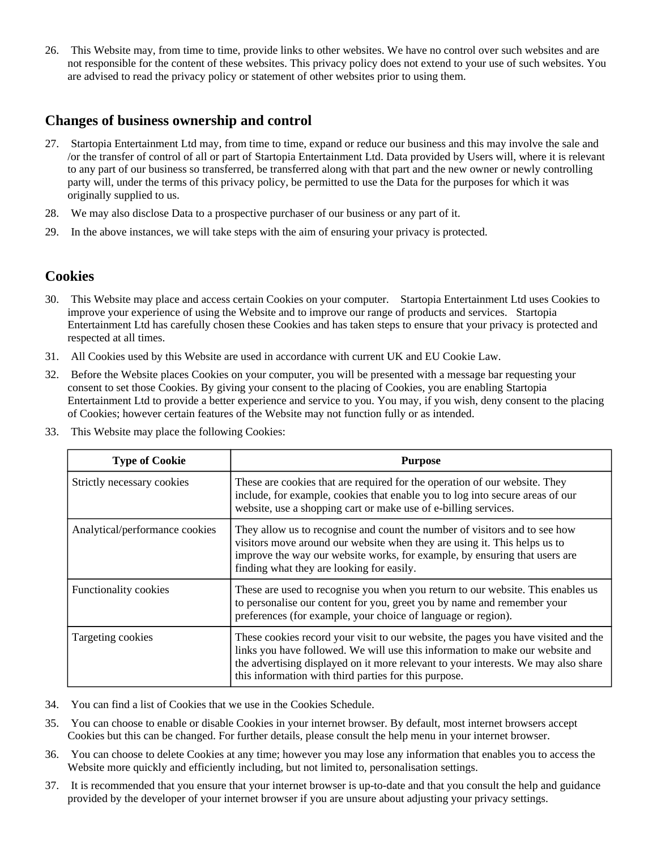26. This Website may, from time to time, provide links to other websites. We have no control over such websites and are not responsible for the content of these websites. This privacy policy does not extend to your use of such websites. You are advised to read the privacy policy or statement of other websites prior to using them.

#### **Changes of business ownership and control**

- 27. Startopia Entertainment Ltd may, from time to time, expand or reduce our business and this may involve the sale and /or the transfer of control of all or part of Startopia Entertainment Ltd. Data provided by Users will, where it is relevant to any part of our business so transferred, be transferred along with that part and the new owner or newly controlling party will, under the terms of this privacy policy, be permitted to use the Data for the purposes for which it was originally supplied to us.
- 28. We may also disclose Data to a prospective purchaser of our business or any part of it.
- 29. In the above instances, we will take steps with the aim of ensuring your privacy is protected.

#### **Cookies**

- 30. This Website may place and access certain Cookies on your computer. Startopia Entertainment Ltd uses Cookies to improve your experience of using the Website and to improve our range of products and services. Startopia Entertainment Ltd has carefully chosen these Cookies and has taken steps to ensure that your privacy is protected and respected at all times.
- 31. All Cookies used by this Website are used in accordance with current UK and EU Cookie Law.
- 32. Before the Website places Cookies on your computer, you will be presented with a message bar requesting your consent to set those Cookies. By giving your consent to the placing of Cookies, you are enabling Startopia Entertainment Ltd to provide a better experience and service to you. You may, if you wish, deny consent to the placing of Cookies; however certain features of the Website may not function fully or as intended.
- 33. This Website may place the following Cookies:

| <b>Type of Cookie</b>          | <b>Purpose</b>                                                                                                                                                                                                                                                                                                     |
|--------------------------------|--------------------------------------------------------------------------------------------------------------------------------------------------------------------------------------------------------------------------------------------------------------------------------------------------------------------|
| Strictly necessary cookies     | These are cookies that are required for the operation of our website. They<br>include, for example, cookies that enable you to log into secure areas of our<br>website, use a shopping cart or make use of e-billing services.                                                                                     |
| Analytical/performance cookies | They allow us to recognise and count the number of visitors and to see how<br>visitors move around our website when they are using it. This helps us to<br>improve the way our website works, for example, by ensuring that users are<br>finding what they are looking for easily.                                 |
| <b>Functionality cookies</b>   | These are used to recognise you when you return to our website. This enables us<br>to personalise our content for you, greet you by name and remember your<br>preferences (for example, your choice of language or region).                                                                                        |
| Targeting cookies              | These cookies record your visit to our website, the pages you have visited and the<br>links you have followed. We will use this information to make our website and<br>the advertising displayed on it more relevant to your interests. We may also share<br>this information with third parties for this purpose. |

- 34. You can find a list of Cookies that we use in the Cookies Schedule.
- 35. You can choose to enable or disable Cookies in your internet browser. By default, most internet browsers accept Cookies but this can be changed. For further details, please consult the help menu in your internet browser.
- 36. You can choose to delete Cookies at any time; however you may lose any information that enables you to access the Website more quickly and efficiently including, but not limited to, personalisation settings.
- 37. It is recommended that you ensure that your internet browser is up-to-date and that you consult the help and guidance provided by the developer of your internet browser if you are unsure about adjusting your privacy settings.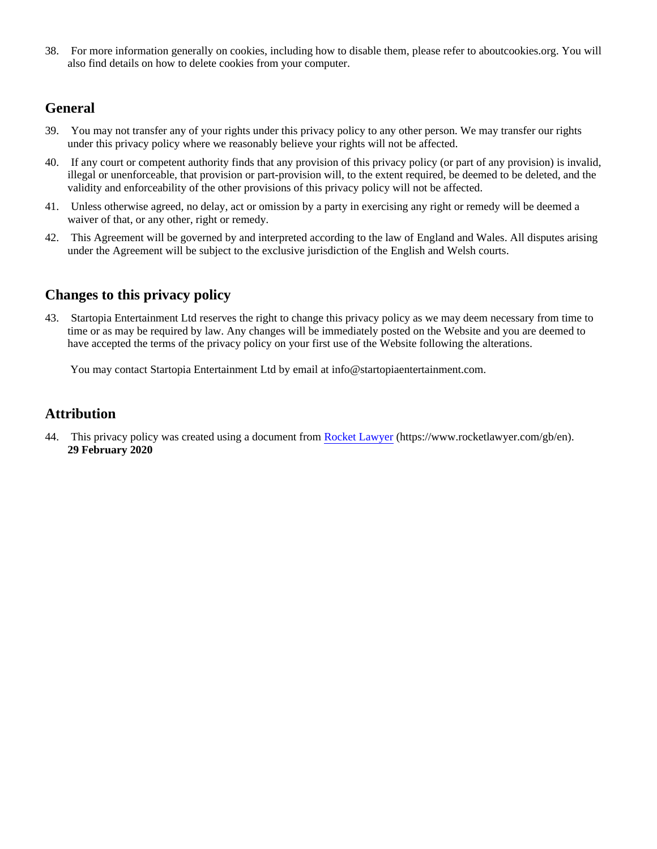38. For more information generally on cookies, including how to disable them, please refer to aboutcookies.org. You will also find details on how to delete cookies from your computer.

## **General**

- 39. You may not transfer any of your rights under this privacy policy to any other person. We may transfer our rights under this privacy policy where we reasonably believe your rights will not be affected.
- 40. If any court or competent authority finds that any provision of this privacy policy (or part of any provision) is invalid, illegal or unenforceable, that provision or part-provision will, to the extent required, be deemed to be deleted, and the validity and enforceability of the other provisions of this privacy policy will not be affected.
- 41. Unless otherwise agreed, no delay, act or omission by a party in exercising any right or remedy will be deemed a waiver of that, or any other, right or remedy.
- 42. This Agreement will be governed by and interpreted according to the law of England and Wales. All disputes arising under the Agreement will be subject to the exclusive jurisdiction of the English and Welsh courts.

## **Changes to this privacy policy**

43. Startopia Entertainment Ltd reserves the right to change this privacy policy as we may deem necessary from time to time or as may be required by law. Any changes will be immediately posted on the Website and you are deemed to have accepted the terms of the privacy policy on your first use of the Website following the alterations.

You may contact Startopia Entertainment Ltd by email at info@startopiaentertainment.com.

## **Attribution**

44. This privacy policy was created using a document from [Rocket Lawyer](https://www.rocketlawyer.com/gb/en/) (https://www.rocketlawyer.com/gb/en). **29 February 2020**